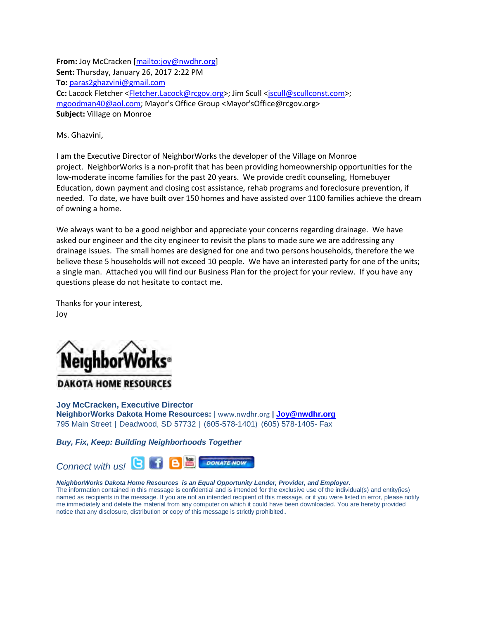**From:** Joy McCracken [\[mailto:joy@nwdhr.org\]](mailto:joy@nwdhr.org) **Sent:** Thursday, January 26, 2017 2:22 PM **To:** [paras2ghazvini@gmail.com](mailto:paras2ghazvini@gmail.com) **Cc:** Lacock Fletcher [<Fletcher.Lacock@rcgov.org>](mailto:Fletcher.Lacock@rcgov.org); Jim Scull [<jscull@scullconst.com>](mailto:jscull@scullconst.com); [mgoodman40@aol.com;](mailto:mgoodman40@aol.com) Mayor's Office Group <Mayor'sOffice@rcgov.org> **Subject:** Village on Monroe

Ms. Ghazvini,

I am the Executive Director of NeighborWorks the developer of the Village on Monroe project. NeighborWorks is a non-profit that has been providing homeownership opportunities for the low-moderate income families for the past 20 years. We provide credit counseling, Homebuyer Education, down payment and closing cost assistance, rehab programs and foreclosure prevention, if needed. To date, we have built over 150 homes and have assisted over 1100 families achieve the dream of owning a home.

We always want to be a good neighbor and appreciate your concerns regarding drainage. We have asked our engineer and the city engineer to revisit the plans to made sure we are addressing any drainage issues. The small homes are designed for one and two persons households, therefore the we believe these 5 households will not exceed 10 people. We have an interested party for one of the units; a single man. Attached you will find our Business Plan for the project for your review. If you have any questions please do not hesitate to contact me.

Thanks for your interest, Joy



**DAKOTA HOME RESOURCES** 

**Joy McCracken, Executive Director NeighborWorks Dakota Home Resources:** | [www.nwdhr.org](http://www.nwdhr.org/) **| [Joy@nwdhr.org](mailto:Joy@nwdhr.org)** 795 Main Street | Deadwood, SD 57732 | (605-578-1401) (605) 578-1405- Fax

*Buy, Fix, Keep: Building Neighborhoods Together* 



## *NeighborWorks Dakota Home Resources is an Equal Opportunity Lender, Provider, and Employer.*

The information contained in this message is confidential and is intended for the exclusive use of the individual(s) and entity(ies) named as recipients in the message. If you are not an intended recipient of this message, or if you were listed in error, please notify me immediately and delete the material from any computer on which it could have been downloaded. You are hereby provided notice that any disclosure, distribution or copy of this message is strictly prohibited.